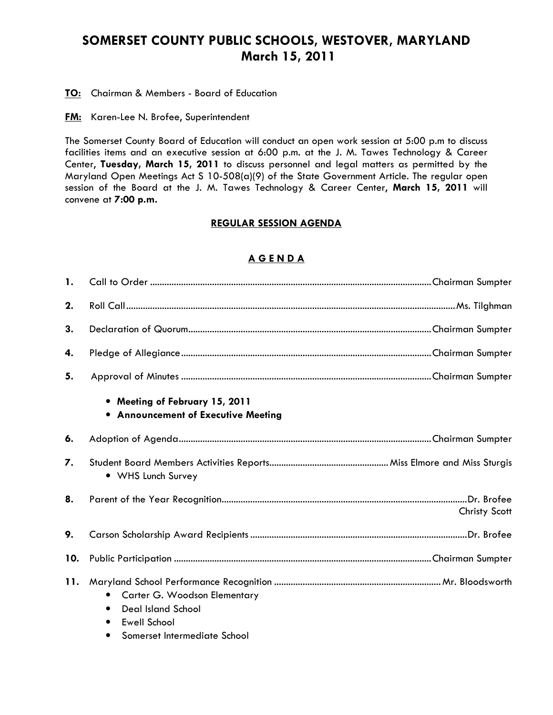## SOMERSET COUNTY PUBLIC SCHOOLS, WESTOVER, MARYLAND March 15, 2011

**TO:** Chairman & Members - Board of Education

**FM:** Karen-Lee N. Brofee, Superintendent

The Somerset County Board of Education will conduct an open work session at 5:00 p.m to discuss facilities items and an executive session at 6:00 p.m. at the J. M. Tawes Technology & Career Center, Tuesday, March 15, 2011 to discuss personnel and legal matters as permitted by the Maryland Open Meetings Act S 10-508(a)(9) of the State Government Article. The regular open session of the Board at the J. M. Tawes Technology & Career Center, March 15, 2011 will convene at 7:00 p.m.

## REGULAR SESSION AGENDA

## A G E N D A

| 1.  |                                                                                                                                            |               |
|-----|--------------------------------------------------------------------------------------------------------------------------------------------|---------------|
| 2.  |                                                                                                                                            |               |
| 3.  |                                                                                                                                            |               |
| 4.  |                                                                                                                                            |               |
| 5.  |                                                                                                                                            |               |
|     | • Meeting of February 15, 2011<br>• Announcement of Executive Meeting                                                                      |               |
| 6.  |                                                                                                                                            |               |
| 7.  | • WHS Lunch Survey                                                                                                                         |               |
| 8.  |                                                                                                                                            | Christy Scott |
| 9.  |                                                                                                                                            |               |
| 10. |                                                                                                                                            |               |
| 11. | Carter G. Woodson Elementary<br><b>Deal Island School</b><br>$\bullet$<br><b>Ewell School</b><br>$\bullet$<br>Somerset Intermediate School |               |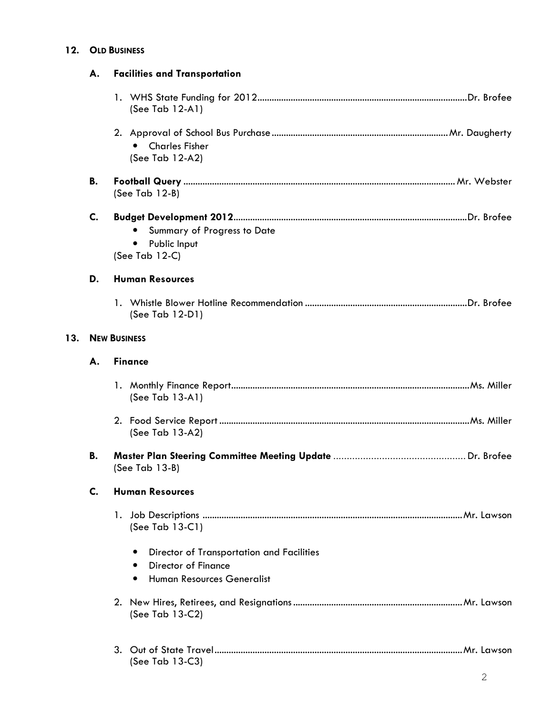## 12. OLD BUSINESS

|     | А.                  | <b>Facilities and Transportation</b>                                          |
|-----|---------------------|-------------------------------------------------------------------------------|
|     |                     | (See Tab $12-A1$ )                                                            |
|     |                     | <b>Charles Fisher</b><br>$\bullet$<br>(See Tab 12-A2)                         |
|     | В.                  | (See Tab $12-B$ )                                                             |
|     | C.                  | Summary of Progress to Date<br>Public Input<br>$\bullet$<br>(See Tab 12-C)    |
|     | D.                  | <b>Human Resources</b>                                                        |
|     |                     | (See Tab 12-D1)                                                               |
| 13. | <b>NEW BUSINESS</b> |                                                                               |
|     | А.                  | <b>Finance</b>                                                                |
|     |                     | (See Tab $13-A1$ )                                                            |
|     |                     | (See Tab 13-A2)                                                               |
|     | В.                  | (See Tab 13-B)                                                                |
|     | C.                  | <b>Human Resources</b>                                                        |
|     |                     | (See Tab $13-C1$ )                                                            |
|     |                     | Director of Transportation and Facilities<br>$\bullet$<br>Director of Finance |
|     |                     | Human Resources Generalist<br>$\bullet$                                       |
|     |                     | (See Tab 13-C2)                                                               |
|     |                     | (See Tab 13-C3)                                                               |